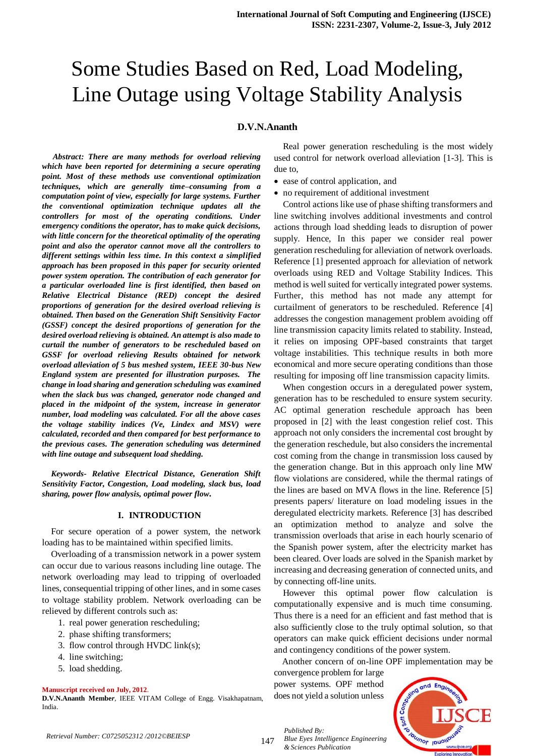# Some Studies Based on Red, Load Modeling, Line Outage using Voltage Stability Analysis

# **D.V.N.Ananth**

 *Abstract: There are many methods for overload relieving which have been reported for determining a secure operating point. Most of these methods use conventional optimization techniques, which are generally time–consuming from a computation point of view, especially for large systems. Further the conventional optimization technique updates all the controllers for most of the operating conditions. Under emergency conditions the operator, has to make quick decisions, with little concern for the theoretical optimality of the operating point and also the operator cannot move all the controllers to different settings within less time. In this context a simplified approach has been proposed in this paper for security oriented power system operation. The contribution of each generator for a particular overloaded line is first identified, then based on Relative Electrical Distance (RED) concept the desired proportions of generation for the desired overload relieving is obtained. Then based on the Generation Shift Sensitivity Factor (GSSF) concept the desired proportions of generation for the desired overload relieving is obtained. An attempt is also made to curtail the number of generators to be rescheduled based on GSSF for overload relieving Results obtained for network overload alleviation of 5 bus meshed system, IEEE 30-bus New England system are presented for illustration purposes. The change in load sharing and generation scheduling was examined when the slack bus was changed, generator node changed and placed in the midpoint of the system, increase in generator number, load modeling was calculated. For all the above cases the voltage stability indices (Ve, Lindex and MSV) were calculated, recorded and then compared for best performance to the previous cases. The generation scheduling was determined with line outage and subsequent load shedding.*

*Keywords- Relative Electrical Distance, Generation Shift Sensitivity Factor, Congestion, Load modeling, slack bus, load sharing, power flow analysis, optimal power flow.*

## **I. INTRODUCTION**

For secure operation of a power system, the network loading has to be maintained within specified limits.

Overloading of a transmission network in a power system can occur due to various reasons including line outage. The network overloading may lead to tripping of overloaded lines, consequential tripping of other lines, and in some cases to voltage stability problem. Network overloading can be relieved by different controls such as:

- 1. real power generation rescheduling;
- 2. phase shifting transformers;
- 3. flow control through HVDC link(s);
- 4. line switching;
- 5. load shedding.

## **Manuscript received on July, 2012**.

**D.V.N.Ananth Membe***r,* IEEE VITAM College of Engg. Visakhapatnam, India.

Real power generation rescheduling is the most widely used control for network overload alleviation [1-3]. This is due to,

- ease of control application, and
- no requirement of additional investment

Control actions like use of phase shifting transformers and line switching involves additional investments and control actions through load shedding leads to disruption of power supply. Hence, In this paper we consider real power generation rescheduling for alleviation of network overloads. Reference [1] presented approach for alleviation of network overloads using RED and Voltage Stability Indices. This method is well suited for vertically integrated power systems. Further, this method has not made any attempt for curtailment of generators to be rescheduled. Reference [4] addresses the congestion management problem avoiding off line transmission capacity limits related to stability. Instead, it relies on imposing OPF-based constraints that target voltage instabilities. This technique results in both more economical and more secure operating conditions than those resulting for imposing off line transmission capacity limits.

When congestion occurs in a deregulated power system, generation has to be rescheduled to ensure system security. AC optimal generation reschedule approach has been proposed in [2] with the least congestion relief cost. This approach not only considers the incremental cost brought by the generation reschedule, but also considers the incremental cost coming from the change in transmission loss caused by the generation change. But in this approach only line MW flow violations are considered, while the thermal ratings of the lines are based on MVA flows in the line. Reference [5] presents papers/ literature on load modeling issues in the deregulated electricity markets. Reference [3] has described an optimization method to analyze and solve the transmission overloads that arise in each hourly scenario of the Spanish power system, after the electricity market has been cleared. Over loads are solved in the Spanish market by increasing and decreasing generation of connected units, and by connecting off-line units.

However this optimal power flow calculation is computationally expensive and is much time consuming. Thus there is a need for an efficient and fast method that is also sufficiently close to the truly optimal solution, so that operators can make quick efficient decisions under normal and contingency conditions of the power system.

Another concern of on-line OPF implementation may be convergence problem for large power systems. OPF method



*Retrieval Number: C0725052312 /2012©BEIESP*

147 *Blue Eyes Intelligence Engineering & Sciences Publication* 

*Published By:*

does not yield a solution unless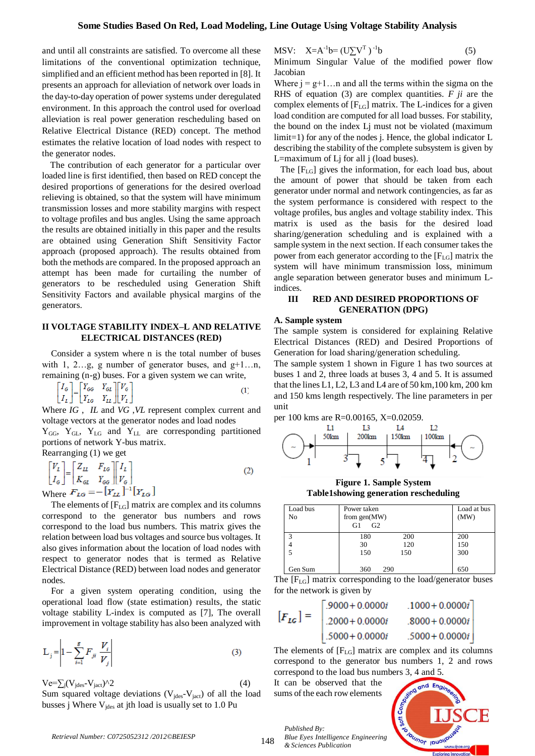and until all constraints are satisfied. To overcome all these limitations of the conventional optimization technique, simplified and an efficient method has been reported in [8]. It presents an approach for alleviation of network over loads in the day-to-day operation of power systems under deregulated environment. In this approach the control used for overload alleviation is real power generation rescheduling based on Relative Electrical Distance (RED) concept. The method estimates the relative location of load nodes with respect to the generator nodes.

The contribution of each generator for a particular over loaded line is first identified, then based on RED concept the desired proportions of generations for the desired overload relieving is obtained, so that the system will have minimum transmission losses and more stability margins with respect to voltage profiles and bus angles. Using the same approach the results are obtained initially in this paper and the results are obtained using Generation Shift Sensitivity Factor approach (proposed approach). The results obtained from both the methods are compared. In the proposed approach an attempt has been made for curtailing the number of generators to be rescheduled using Generation Shift Sensitivity Factors and available physical margins of the generators.

## **II VOLTAGE STABILITY INDEX–L AND RELATIVE ELECTRICAL DISTANCES (RED)**

Consider a system where n is the total number of buses with 1, 2...g, g number of generator buses, and  $g+1...n$ , remaining (n-g) buses. For a given system we can write,

$$
\begin{bmatrix} I_G \\ I_L \end{bmatrix} = \begin{bmatrix} Y_{GG} & Y_{GL} \\ Y_{LG} & Y_{LL} \end{bmatrix} \begin{bmatrix} V_G \\ V_L \end{bmatrix}
$$
\n(1)

Where *IG* , *IL* and *VG* ,*VL* represent complex current and voltage vectors at the generator nodes and load nodes  $Y_{GG}$ ,  $Y_{GL}$ ,  $Y_{LG}$  and  $Y_{LL}$  are corresponding partitioned portions of network Y-bus matrix.

Rearranging (1) we get

$$
\begin{bmatrix} V_L \\ I_G \end{bmatrix} = \begin{bmatrix} Z_{LL} & F_{LG} \\ K_{GL} & Y_{GG} \end{bmatrix} \begin{bmatrix} I_L \\ V_G \end{bmatrix}
$$
\n
$$
\text{Where } F_{LG} = -\begin{bmatrix} Y_{LL} \end{bmatrix}^{-1} \begin{bmatrix} Y_{LG} \end{bmatrix} \tag{2}
$$

The elements of  $[F_{LG}]$  matrix are complex and its columns correspond to the generator bus numbers and rows correspond to the load bus numbers. This matrix gives the relation between load bus voltages and source bus voltages. It also gives information about the location of load nodes with respect to generator nodes that is termed as Relative Electrical Distance (RED) between load nodes and generator nodes.

For a given system operating condition, using the operational load flow (state estimation) results, the static voltage stability L-index is computed as [7], The overall improvement in voltage stability has also been analyzed with

$$
L_{j} = \left| 1 - \sum_{i=1}^{g} F_{ji} \frac{V_{i}}{V_{j}} \right|
$$
 (3)

 $Ve = \sum_{i} (V_{jdes} - V_{jact})^2$  (4) Sum squared voltage deviations ( $V_{\text{ides}}-V_{\text{fact}}$ ) of all the load busses j Where  $V_{\text{ides}}$  at jth load is usually set to 1.0 Pu

MSV:  $X=A^{-1}b=(U\Sigma V^{T})^{-1}$  $(5)$ 

Minimum Singular Value of the modified power flow Jacobian

Where  $j = g+1...n$  and all the terms within the sigma on the RHS of equation (3) are complex quantities. *F ji* are the complex elements of  $[F_{LG}]$  matrix. The L-indices for a given load condition are computed for all load busses. For stability, the bound on the index Lj must not be violated (maximum limit=1) for any of the nodes j. Hence, the global indicator L describing the stability of the complete subsystem is given by L=maximum of Lj for all j (load buses).

The [F<sub>LG</sub>] gives the information, for each load bus, about the amount of power that should be taken from each generator under normal and network contingencies, as far as the system performance is considered with respect to the voltage profiles, bus angles and voltage stability index. This matrix is used as the basis for the desired load sharing/generation scheduling and is explained with a sample system in the next section. If each consumer takes the power from each generator according to the  $[F_{LG}]$  matrix the system will have minimum transmission loss, minimum angle separation between generator buses and minimum Lindices.

## **III RED AND DESIRED PROPORTIONS OF GENERATION (DPG)**

## **A. Sample system**

The sample system is considered for explaining Relative Electrical Distances (RED) and Desired Proportions of Generation for load sharing/generation scheduling.

The sample system 1 shown in Figure 1 has two sources at buses 1 and 2, three loads at buses 3, 4 and 5. It is assumed that the lines L1, L2, L3 and L4 are of  $50 \text{ km}$ ,  $100 \text{ km}$ ,  $200 \text{ km}$ and 150 kms length respectively. The line parameters in per unit

per 100 kms are R=0.00165, X=0.02059.



**Figure 1. Sample System Table1showing generation rescheduling**

| Load bus<br>No | Power taken<br>from $gen(MW)$<br>G <sub>2</sub><br>G <sub>1</sub> |     | Load at bus<br>(MW) |  |  |
|----------------|-------------------------------------------------------------------|-----|---------------------|--|--|
| 3              | 180                                                               | 200 | 200                 |  |  |
|                | 30                                                                | 120 | 150                 |  |  |
|                | 150                                                               | 150 | 300                 |  |  |
|                |                                                                   |     |                     |  |  |
| Gen Sum        | 360                                                               | 290 | 650                 |  |  |

The  $[F_{LG}]$  matrix corresponding to the load/generator buses for the network is given by

$$
\begin{bmatrix} F_{LG} \end{bmatrix} = \begin{bmatrix} .9000 + 0.0000i & .1000 + 0.0000i \\ .2000 + 0.0000i & .8000 + 0.0000i \\ .5000 + 0.0000i & .5000 + 0.0000i \end{bmatrix}
$$

The elements of  $[F_{LG}]$  matrix are complex and its columns correspond to the generator bus numbers 1, 2 and rows correspond to the load bus numbers 3, 4 and 5.

It can be observed that the sums of the each row elements

*Blue Eyes Intelligence Engineering* 

*Published By:*

*& Sciences Publication* 



148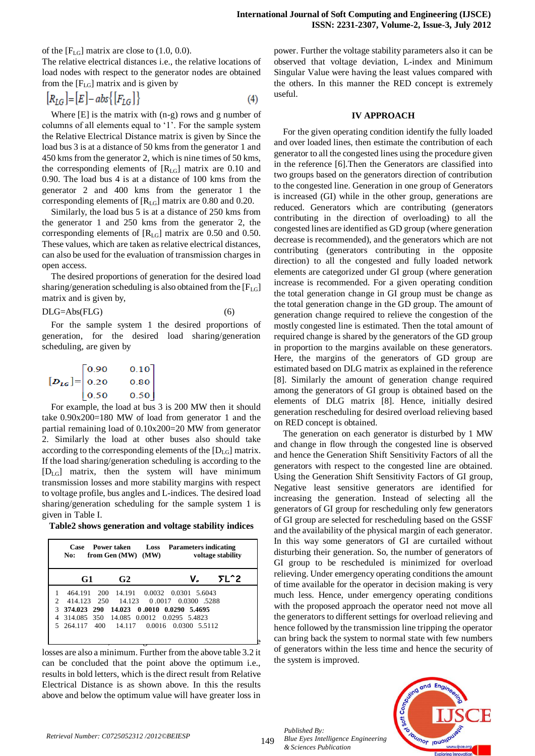of the  $[F_{LG}]$  matrix are close to (1.0, 0.0).

The relative electrical distances i.e., the relative locations of load nodes with respect to the generator nodes are obtained from the  $[F_{LG}]$  matrix and is given by

$$
[R_{LG}] = [E] - abs\{[F_{LG}]\}\tag{4}
$$

Where [E] is the matrix with (n-g) rows and g number of columns of all elements equal to '1'. For the sample system the Relative Electrical Distance matrix is given by Since the load bus 3 is at a distance of 50 kms from the generator 1 and 450 kms from the generator 2, which is nine times of 50 kms, the corresponding elements of  $[R_{LG}]$  matrix are 0.10 and 0.90. The load bus 4 is at a distance of 100 kms from the generator 2 and 400 kms from the generator 1 the corresponding elements of  $[R_{LG}]$  matrix are 0.80 and 0.20.

Similarly, the load bus 5 is at a distance of 250 kms from the generator 1 and 250 kms from the generator 2, the corresponding elements of  $[R_{LG}]$  matrix are 0.50 and 0.50. These values, which are taken as relative electrical distances, can also be used for the evaluation of transmission charges in open access.

The desired proportions of generation for the desired load sharing/generation scheduling is also obtained from the  $[F_{LG}]$ matrix and is given by,

 $DLG=Abs(FLG)$  (6)

For the sample system 1 the desired proportions of generation, for the desired load sharing/generation scheduling, are given by

$$
[\mathbf{D}_{LG}] = \begin{bmatrix} 0.90 & 0.10 \\ 0.20 & 0.80 \\ 0.50 & 0.50 \end{bmatrix}
$$

For example, the load at bus 3 is 200 MW then it should take 0.90x200=180 MW of load from generator 1 and the partial remaining load of 0.10x200=20 MW from generator 2. Similarly the load at other buses also should take according to the corresponding elements of the  $[D_{LG}]$  matrix. If the load sharing/generation scheduling is according to the [DLG] matrix, then the system will have minimum transmission losses and more stability margins with respect to voltage profile, bus angles and L-indices. The desired load sharing/generation scheduling for the sample system 1 is given in Table I.

**Table2 shows generation and voltage stability indices**

|                | Case<br>No: |       | Power taken<br>from Gen (MW) (MW)       | Loss<br><b>Parameters indicating</b><br>voltage stability |                    |               |                     |
|----------------|-------------|-------|-----------------------------------------|-----------------------------------------------------------|--------------------|---------------|---------------------|
|                | G1          |       | G <sub>2</sub>                          |                                                           |                    | v             | $\mathcal{F}$ $L^2$ |
|                | 464.191     | - 200 |                                         | 14.191 0.0032 0.0301 5.6043                               |                    |               |                     |
| $\mathfrak{D}$ |             |       | 414.123 250 14.123                      |                                                           | 0.0017 0.0300 5288 |               |                     |
| 3              | 374.023 290 |       | 14.023 0.0010 0.0290 5.4695             |                                                           |                    |               |                     |
| 4              |             |       | 314.085 350 14.085 0.0012 0.0295 5.4823 |                                                           |                    |               |                     |
|                |             |       | 5 264.117 400 14.117                    | 0.0016                                                    |                    | 0.0300 5.5112 |                     |

losses are also a minimum. Further from the above table 3.2 it can be concluded that the point above the optimum i.e., results in bold letters, which is the direct result from Relative Electrical Distance is as shown above. In this the results above and below the optimum value will have greater loss in

power. Further the voltage stability parameters also it can be observed that voltage deviation, L-index and Minimum Singular Value were having the least values compared with the others. In this manner the RED concept is extremely useful.

#### **IV APPROACH**

For the given operating condition identify the fully loaded and over loaded lines, then estimate the contribution of each generator to all the congested lines using the procedure given in the reference [6].Then the Generators are classified into two groups based on the generators direction of contribution to the congested line. Generation in one group of Generators is increased (GI) while in the other group, generations are reduced. Generators which are contributing (generators contributing in the direction of overloading) to all the congested lines are identified as GD group (where generation decrease is recommended), and the generators which are not contributing (generators contributing in the opposite direction) to all the congested and fully loaded network elements are categorized under GI group (where generation increase is recommended. For a given operating condition the total generation change in GI group must be change as the total generation change in the GD group. The amount of generation change required to relieve the congestion of the mostly congested line is estimated. Then the total amount of required change is shared by the generators of the GD group in proportion to the margins available on these generators. Here, the margins of the generators of GD group are estimated based on DLG matrix as explained in the reference [8]. Similarly the amount of generation change required among the generators of GI group is obtained based on the elements of DLG matrix [8]. Hence, initially desired generation rescheduling for desired overload relieving based on RED concept is obtained.

The generation on each generator is disturbed by 1 MW and change in flow through the congested line is observed and hence the Generation Shift Sensitivity Factors of all the generators with respect to the congested line are obtained. Using the Generation Shift Sensitivity Factors of GI group, Negative least sensitive generators are identified for increasing the generation. Instead of selecting all the generators of GI group for rescheduling only few generators of GI group are selected for rescheduling based on the GSSF and the availability of the physical margin of each generator. In this way some generators of GI are curtailed without disturbing their generation. So, the number of generators of GI group to be rescheduled is minimized for overload relieving. Under emergency operating conditions the amount of time available for the operator in decision making is very much less. Hence, under emergency operating conditions with the proposed approach the operator need not move all the generators to different settings for overload relieving and hence followed by the transmission line tripping the operator can bring back the system to normal state with few numbers of generators within the less time and hence the security of the system is improved.



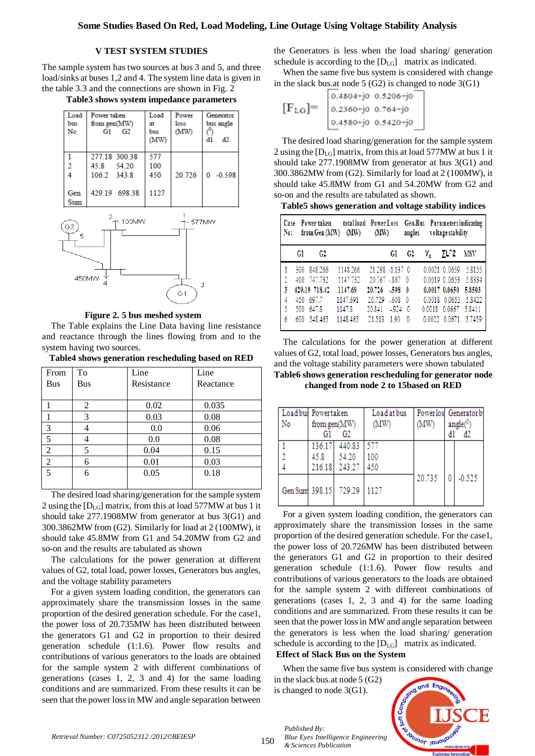# **V TEST SYSTEM STUDIES**

The sample system has two sources at bus 3 and 5, and three load/sinks at buses 1,2 and 4. The system line data is given in the table 3.3 and the connections are shown in Fig. 2

| Load                | Power taken                    | Load | Power         | Generator  |  |
|---------------------|--------------------------------|------|---------------|------------|--|
| bus                 | from gen(MW)                   | at   | loss          | bus angle  |  |
| No                  | G1 and the Gallery<br>G2       | bus  | (MW)          | ጣ          |  |
|                     |                                | (MW) |               | d1<br>d2   |  |
|                     |                                |      |               |            |  |
| 1                   | 277.18 300.38                  | 577  |               |            |  |
| 2                   | 45.8<br>54.20                  | 100  |               |            |  |
| 4                   | 106.2 343.8                    | 450  | 20.726        | $0 -0.598$ |  |
|                     |                                |      |               |            |  |
|                     |                                |      |               |            |  |
| Gen                 | 429.19 698.38                  | 1127 |               |            |  |
| Sum                 |                                |      |               |            |  |
| G <sub>2</sub><br>5 | $2\rightarrow 100$ MW<br>450MW |      | ~ 577MW<br>G1 | 3          |  |

**Table3 shows system impedance parameters**

### **Figure 2. 5 bus meshed system**

The Table explains the Line Data having line resistance and reactance through the lines flowing from and to the system having two sources.

**Table4 shows generation rescheduling based on RED**

| From           | To  | Line       | Line      |
|----------------|-----|------------|-----------|
| Bus            | Bus | Resistance | Reactance |
|                |     |            |           |
|                | 2   | 0.02       | 0.035     |
| 1              | 3   | 0.03       | 0.08      |
| 3              |     | 0.0        | 0.06      |
| 5              |     | 0.0        | 0.08      |
| $\overline{2}$ | 5   | 0.04       | 0.15      |
| 2              | 6   | 0.01       | 0.03      |
| 5              | 6   | 0.05       | 0.18      |
|                |     |            |           |

The desired load sharing/generation for the sample system 2 using the  $[D_{LG}]$  matrix, from this at load 577MW at bus 1 it should take 277.1908MW from generator at bus 3(G1) and 300.3862MW from (G2). Similarly for load at 2 (100MW), it should take 45.8MW from G1 and 54.20MW from G2 and so-on and the results are tabulated as shown

The calculations for the power generation at different values of G2, total load, power losses, Generators bus angles, and the voltage stability parameters

For a given system loading condition, the generators can approximately share the transmission losses in the same proportion of the desired generation schedule. For the case1, the power loss of 20.735MW has been distributed between the generators G1 and G2 in proportion to their desired generation schedule (1:1.6). Power flow results and contributions of various generators to the loads are obtained for the sample system 2 with different combinations of generations (cases 1, 2, 3 and 4) for the same loading conditions and are summarized. From these results it can be seen that the power loss in MW and angle separation between

the Generators is less when the load sharing/ generation schedule is according to the  $[D_{LG}]$  matrix as indicated.

When the same five bus system is considered with change in the slack bus.at node 5 (G2) is changed to node 3(G1)

$$
\begin{array}{ll}\n[ F_{\text{LG}} ] = \begin{bmatrix}\n 0.4804 + j0 & 0.5206 + j0 \\
0.2360 + j0 & 0.764 + j0 \\
0.4580 + j0 & 0.5420 + j0\n \end{bmatrix}\n \end{array}
$$

The desired load sharing/generation for the sample system 2 using the  $[D_{LG}]$  matrix, from this at load 577MW at bus 1 it should take 277.1908MW from generator at bus 3(G1) and 300.3862MW from (G2). Similarly for load at 2 (100MW), it should take 45.8MW from G1 and 54.20MW from G2 and so-on and the results are tabulated as shown.

**Table5 shows generation and voltage stability indices**

| Case<br>No: |    | Power taken<br>from Gen (MW) | totalload PowerLoss Gen.Bus Parameters indicating<br>(MW) | (MW)            |        | angles   |        | voltage stability |        |
|-------------|----|------------------------------|-----------------------------------------------------------|-----------------|--------|----------|--------|-------------------|--------|
|             | Gl | G2                           |                                                           |                 | Gl     | G2       | $V_e$  | $\Sigma$ L^2 MSV  |        |
|             |    | 300 848.266                  | 1148.266                                                  | 21.298 -1.137 0 |        |          |        | 0.0021 0.0659     | 5.8155 |
|             |    | 400 747.732                  | 1147.732                                                  | 20.767 - 867    |        | - 0      |        | 0.0019 0.0653     | 5.8334 |
| 3           |    | 429.19 718.42                | 1147.69                                                   | 20.726 - 598 0  |        |          |        | 0.0017 0.0650     | 5.8503 |
| 4           |    | 450 697.7                    | 1147.691                                                  | 20.729          | $-608$ | $\theta$ |        | 0.0018 0.0653     | 5.8422 |
| 5           |    | 500 647.8                    | 1147.8                                                    | 20.841          | $-924$ | - 0      | 0.0018 | 0.0667            | 5.8411 |
| 6           |    | 600 548.465                  | 1148.465                                                  | 21.513          | 1.90   | -0       |        | 0.0022 0.0671     | 5.7459 |

The calculations for the power generation at different values of G2, total load, power losses, Generators bus angles, and the voltage stability parameters were shown tabulated

**Table6 shows generation rescheduling for generator node changed from node 2 to 15based on RED**

| Loadbus Powertaken<br>No | from gen(MW)<br>G1       | G2                         | Loadatbus<br>(MW) | Powerlos Generatorb<br>(MW) | $angle(^0)$ |  |
|--------------------------|--------------------------|----------------------------|-------------------|-----------------------------|-------------|--|
|                          | 136.17<br>45.8<br>216.18 | 440.83<br>54.20<br>243.27  | 577<br>100<br>450 |                             |             |  |
|                          |                          | Gen Sum 398.15 729.29 1127 |                   | 20.735                      | $-0.525$    |  |

For a given system loading condition, the generators can approximately share the transmission losses in the same proportion of the desired generation schedule. For the case1, the power loss of 20.726MW has been distributed between the generators G1 and G2 in proportion to their desired generation schedule (1:1.6). Power flow results and contributions of various generators to the loads are obtained for the sample system 2 with different combinations of generations (cases 1, 2, 3 and 4) for the same loading conditions and are summarized. From these results it can be seen that the power loss in MW and angle separation between the generators is less when the load sharing/ generation schedule is according to the  $[D_{LG}]$  matrix as indicated.

## **Effect of Slack Bus on the System**

When the same five bus system is considered with change in the slack bus.at node 5 (G2)

is changed to node 3(G1).

*Blue Eyes Intelligence Engineering* 

*Published By:*

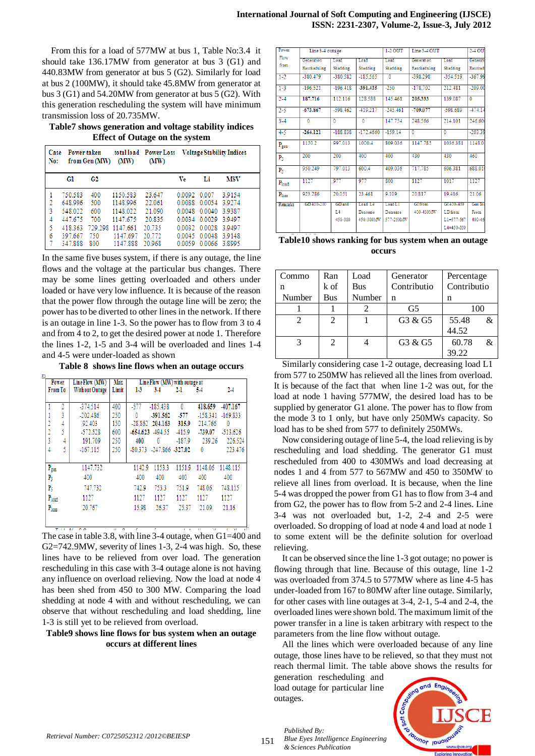## **International Journal of Soft Computing and Engineering (IJSCE) ISSN: 2231-2307, Volume-2, Issue-3, July 2012**

From this for a load of 577MW at bus 1, Table No:3.4 it should take 136.17MW from generator at bus 3 (G1) and 440.83MW from generator at bus 5 (G2). Similarly for load at bus 2 (100MW), it should take 45.8MW from generator at bus 3 (G1) and 54.20MW from generator at bus 5 (G2). With this generation rescheduling the system will have minimum transmission loss of 20.735MW.

**Table7 shows generation and voltage stability indices Effect of Outage on the system**

| Case<br>No: |         | Power taken<br>from Gen (MW) | (MW)     | totalload Power Loss Voltage Stability Indices<br>(MW) |        |                      |               |
|-------------|---------|------------------------------|----------|--------------------------------------------------------|--------|----------------------|---------------|
|             | Gl      | G2                           |          |                                                        | Ve     | Li                   | MSV           |
|             | 750.583 | 400                          | 1150.583 | 23.647                                                 |        | 0.0092 0.007         | 3.9154        |
|             | 648.996 | 500                          | 1148.996 | 22.061                                                 | 0.0088 | 0.0054 3.9274        |               |
| 3           | 548.022 | 600                          | 1148.022 | 21.090                                                 | 0.0048 |                      | 0.0040 3.9387 |
| 4           | 447.675 | 700                          | 1147.675 | 20.835                                                 | 0.0034 |                      | 0.0029 3.9497 |
| 5           | 418.363 | 729.298                      | 1147.661 | 20.735                                                 | 0.0032 |                      | 0.0028 3.9497 |
| 6           | 397.667 | 750                          | 1147.697 | 20.772                                                 |        | 0.0045 0.0048 3.9148 |               |
|             | 347.888 | 800                          | 1147.888 | 20.968                                                 | 0.0059 |                      | 0.0066 3.8995 |

In the same five buses system, if there is any outage, the line flows and the voltage at the particular bus changes. There may be some lines getting overloaded and others under loaded or have very low influence. It is because of the reason that the power flow through the outage line will be zero; the power has to be diverted to other lines in the network. If there is an outage in line 1-3. So the power has to flow from 3 to 4 and from 4 to 2, to get the desired power at node 1. Therefore the lines 1-2, 1-5 and 3-4 will be overloaded and lines 1-4 and 4-5 were under-loaded as shown

**Table 8 shows line flows when an outage occurs**

| Power             |   | Line Flow (MW)        | Мах   |        | Line Flow (MW) with outage at |              |            |            |
|-------------------|---|-----------------------|-------|--------|-------------------------------|--------------|------------|------------|
| From To           |   | <b>Without Outage</b> | Limit | $1-3$  | 3.4                           | $2-1$        | 5.4        | $2-4$      |
|                   |   |                       |       |        |                               |              |            |            |
| 1                 | 2 | -374.514              | 400   | -577   | $-185.438$                    | $\mathbf{0}$ | 418.659    | $-407.167$ |
|                   | 3 | $-202.486$            | 250   | 0      | -391.562                      | -577         | $-158.341$ | $-169.833$ |
| 2                 | 4 | 92.403                | 150   |        | $-28.862$ 204.163             | 315.9        | 214.766    | 0          |
| 2                 | 5 | $-572.528$            | 600   |        | $-654.623 - 494.55$           | -415.9       | $-739.07$  | $-513.626$ |
| 3                 | 4 | 191.709               | 250   | 400    | $\mathbf{0}$                  | $-187.9$     | 239.26     | 226.524    |
| 4                 | 5 | $-167.115$            | 250   |        | $-80.373 - 247.866 - 327.02$  |              | 0          | 223,476    |
|                   |   |                       |       |        |                               |              |            |            |
| $P_{\text{gen}}$  |   | 1147.732              |       | 1142.9 | 1153.3                        | 1151.9       | 1148.06    | 1148.115   |
| Р3                |   | 400                   |       | 400    | 400                           | 400          | 400        | 400        |
| P5                |   | 747.732               |       | 742.9  | 753.3                         | 751.9        | 748.06     | 748.115    |
| Pload             |   | 1127                  |       | 1127   | 1127                          | 1127         | 1127       | 1127       |
| P <sub>loss</sub> |   | 20.767                |       | 15.98  | 26.37                         | 25.37        | 21.09      | 21.16      |
|                   |   |                       |       |        |                               |              |            |            |
|                   |   |                       |       |        |                               |              |            |            |

The case in table 3.8, with line 3-4 outage, when G1=400 and G2=742.9MW, severity of lines 1-3, 2-4 was high. So, these lines have to be relieved from over load. The generation rescheduling in this case with 3-4 outage alone is not having any influence on overload relieving. Now the load at node 4 has been shed from 450 to 300 MW. Comparing the load shedding at node 4 with and without rescheduling, we can observe that without rescheduling and load shedding, line 1-3 is still yet to be relieved from overload.

**Table9 shows line flows for bus system when an outage occurs at different lines**

| Power                     | Line 3-4 outage |              |                | 1-2 OUT        | Line 5-4 OUT   |                  | $2-4$ OU       |
|---------------------------|-----------------|--------------|----------------|----------------|----------------|------------------|----------------|
| Flow                      | Ganacation      | Load         | Load           | Load           | Generation     | Load             | Generati       |
| from                      | Rescheduling    | Shedding     | Shedding       | Shedding       | Rescheduling   | Shedding         | Reschedt       |
| $1 - 2$                   | $-380.479$      | -380.582     | $-185.565$     | $\overline{0}$ | $-398.298$     | $-354.519$       | $-367.99$      |
| $1-3$                     | $-196.521$      | $-196.418$   | -391.435       | $-250$         | $-178.702$     | 212.481          | $-209.00$      |
| $2 - 4$                   | 187.716         | 112.116      | 128.588        | 145.461        | 205.333        | 139.087          | $\overline{0}$ |
| $2 - 5$                   | $-673.867$      | $-598.462$   | $-419.217$     | $-245.461$     | $-709.077$     | $-598.689$       | $-474.14$      |
| $3 - 4$                   | 0               | $\mathbf{0}$ | $\overline{0}$ | 147.754        | 248.566        | 214.101          | 246.60         |
| $4 - 5$                   | $-264.121$      | $-188.838$   | $-172.4660$    | $-159.14$      | $\overline{0}$ | $\overline{0}$   | $-203.39$      |
| $\mathbf{P}_{\text{gen}}$ | 1150.2          | 997.013      | 1000.4         | 809.036        | 1147.785       | 1036.381         | 1148.0         |
| $P_3$                     | 200             | 200          | 400            | 400            | 430            | 430              | 460            |
| $P_5$                     | 950.249         | 797.013      | 600.4          | 409.036        | 717.785        | 606.381          | 688.01         |
| $\mathbf{P}_\text{load}$  | 1127            | 977          | 977            | 800            | 1127           | 1017             | 1127           |
| P <sub>loss</sub>         | 923.286         | 20.051       | 23.461         | 9.109          | 20.817         | 19.416           | 21.06          |
| Remarks                   | GD 400-200      | GD and       | Load L4        | LoadLI         | GI from        | GI 400-430       | Gen Inc        |
|                           |                 | L4           | Decrease       | Decrease       | 400-430MW      | LD from          | From           |
|                           |                 | 450-300      | 450-300MW      | 577-250MW      |                | $L1 = 577 - 567$ | 400-46         |
|                           |                 |              |                |                |                | $L4 = 450 - 350$ |                |
|                           |                 |              | н              | .,             | ÷<br>. .       |                  |                |

**Table10 shows ranking for bus system when an outage occurs**

| Commo  | Ran        | Load       | Generator                       | Percentage  |
|--------|------------|------------|---------------------------------|-------------|
| n      | $k$ of     | <b>Bus</b> | Contributio                     | Contributio |
| Number | <b>Bus</b> | Number     | n                               | n           |
|        |            |            | G5                              | 100         |
|        | 2.         |            | G3 & G5                         | 55.48<br>&. |
|        |            |            |                                 | 44.52       |
|        | 2          |            | G <sub>3</sub> & G <sub>5</sub> | 60.78<br>&. |
|        |            |            |                                 | 39.22       |

Similarly considering case 1-2 outage, decreasing load L1 from 577 to 250MW has relieved all the lines from overload. It is because of the fact that when line 1-2 was out, for the load at node 1 having 577MW, the desired load has to be supplied by generator G1 alone. The power has to flow from the mode 3 to 1 only, but have only 250MWs capacity. So load has to be shed from 577 to definitely 250MWs.

Now considering outage of line 5-4, the load relieving is by rescheduling and load shedding. The generator G1 must rescheduled from 400 to 430MWs and load decreasing at nodes 1 and 4 from 577 to 567MW and 450 to 350MW to relieve all lines from overload. It is because, when the line 5-4 was dropped the power from G1 has to flow from 3-4 and from G2, the power has to flow from 5-2 and 2-4 lines. Line 3-4 was not overloaded but, 1-2, 2-4 and 2-5 were overloaded. So dropping of load at node 4 and load at node 1 to some extent will be the definite solution for overload relieving.

It can be observed since the line 1-3 got outage; no power is flowing through that line. Because of this outage, line 1-2 was overloaded from 374.5 to 577MW where as line 4-5 has under-loaded from 167 to 80MW after line outage. Similarly, for other cases with line outages at 3-4, 2-1, 5-4 and 2-4, the overloaded lines were shown bold. The maximum limit of the power transfer in a line is taken arbitrary with respect to the parameters from the line flow without outage.

All the lines which were overloaded because of any line outage, those lines have to be relieved, so that they must not reach thermal limit. The table above shows the results for

generation rescheduling and load outage for particular line outages.

*Blue Eyes Intelligence Engineering* 

*Published By:*

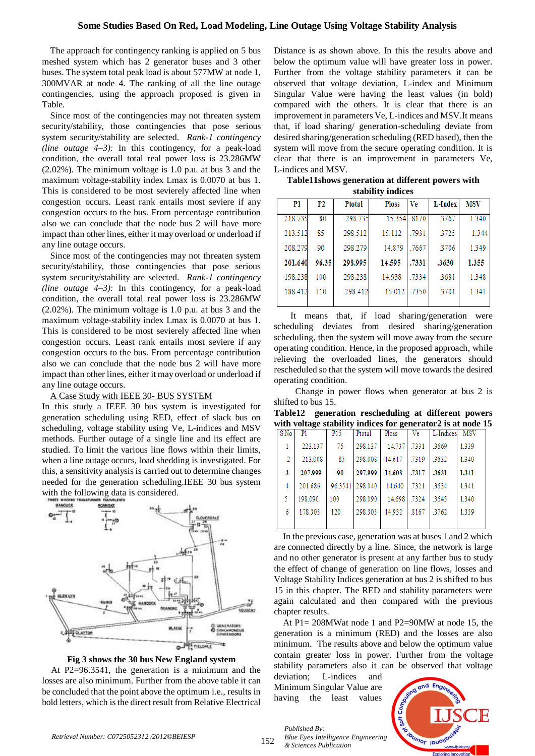The approach for contingency ranking is applied on 5 bus meshed system which has 2 generator buses and 3 other buses. The system total peak load is about 577MW at node 1, 300MVAR at node 4. The ranking of all the line outage contingencies, using the approach proposed is given in Table.

Since most of the contingencies may not threaten system security/stability, those contingencies that pose serious system security/stability are selected. *Rank-1 contingency (line outage 4–3):* In this contingency, for a peak-load condition, the overall total real power loss is 23.286MW (2.02%). The minimum voltage is 1.0 p.u. at bus 3 and the maximum voltage-stability index Lmax is 0.0070 at bus 1. This is considered to be most sevierely affected line when congestion occurs. Least rank entails most seviere if any congestion occurs to the bus. From percentage contribution also we can conclude that the node bus 2 will have more impact than other lines, either it may overload or underload if any line outage occurs.

Since most of the contingencies may not threaten system security/stability, those contingencies that pose serious system security/stability are selected. *Rank-1 contingency (line outage 4–3):* In this contingency, for a peak-load condition, the overall total real power loss is 23.286MW (2.02%). The minimum voltage is 1.0 p.u. at bus 3 and the maximum voltage-stability index Lmax is 0.0070 at bus 1. This is considered to be most sevierely affected line when congestion occurs. Least rank entails most seviere if any congestion occurs to the bus. From percentage contribution also we can conclude that the node bus 2 will have more impact than other lines, either it may overload or underload if any line outage occurs.

## A Case Study with IEEE 30- BUS SYSTEM

In this study a IEEE 30 bus system is investigated for generation scheduling using RED, effect of slack bus on scheduling, voltage stability using Ve, L-indices and MSV methods. Further outage of a single line and its effect are studied. To limit the various line flows within their limits, when a line outage occurs, load shedding is investigated. For this, a sensitivity analysis is carried out to determine changes needed for the generation scheduling.IEEE 30 bus system with the following data is considered.



**Fig 3 shows the 30 bus New England system**

At P2=96.3541, the generation is a minimum and the losses are also minimum. Further from the above table it can be concluded that the point above the optimum i.e., results in bold letters, which is the direct result from Relative Electrical Distance is as shown above. In this the results above and below the optimum value will have greater loss in power. Further from the voltage stability parameters it can be observed that voltage deviation, L-index and Minimum Singular Value were having the least values (in bold) compared with the others. It is clear that there is an improvement in parameters Ve, L-indices and MSV.It means that, if load sharing/ generation-scheduling deviate from desired sharing/generation scheduling (RED based), then the system will move from the secure operating condition. It is clear that there is an improvement in parameters Ve, L-indices and MSV.

**Table11shows generation at different powers with stability indices**

| P1      | P2    | Ptotal  | <b>Ploss</b> | Ve    | L-Index | MSV   |
|---------|-------|---------|--------------|-------|---------|-------|
| 218.735 | 80    | 298.735 | 15.354       | .8170 | .3767   | 1,340 |
| 213.512 | 85    | 298.512 | 15.112       | .7931 | .3725   | 1.344 |
| 208.279 | 90    | 298.279 | 14.879       | .7667 | .3706   | 1.349 |
| 201.640 | 96.35 | 298.995 | 14.595       | .7331 | .3630   | 1.355 |
| 198.238 | 100   | 298.238 | 14.938       | .7334 | .3681   | 1.348 |
| 188.412 | 110   | 298.412 | 15.012       | 7350  | .3701   | 1.341 |

 It means that, if load sharing/generation were scheduling deviates from desired sharing/generation scheduling, then the system will move away from the secure operating condition. Hence, in the proposed approach, while relieving the overloaded lines, the generators should rescheduled so that the system will move towards the desired operating condition.

 Change in power flows when generator at bus 2 is shifted to bus 15.

**Table12 generation rescheduling at different powers with voltage stability indices for generator2 is at node 15**

| S.No           | P1      | P <sub>15</sub> | Ptotal  | Ploss  | Ve    | L-Indices | MSV   |
|----------------|---------|-----------------|---------|--------|-------|-----------|-------|
|                | 223.137 | 75              | 298.137 | 14.737 | .7331 | 3669      | 1.339 |
| $\overline{2}$ | 213.008 | 85              | 298,008 | 14.617 | .7319 | 3632      | 1.340 |
| 3              | 207,999 | 90              | 297.999 | 14.608 | .7317 | .3631     | 1.341 |
| 4              | 201.686 | 96.3541 298.040 |         | 14.640 | .7321 | 3634      | 1.341 |
| 5              | 198.090 | 100             | 298.090 | 14.698 | 7324  | 3645      | 1.340 |
| 6              | 178.303 | 120             | 298.303 | 14.932 | 8167  | 3762      | 1.339 |
|                |         |                 |         |        |       |           |       |

In the previous case, generation was at buses 1 and 2 which are connected directly by a line. Since, the network is large and no other generator is present at any farther bus to study the effect of change of generation on line flows, losses and Voltage Stability Indices generation at bus 2 is shifted to bus 15 in this chapter. The RED and stability parameters were again calculated and then compared with the previous chapter results.

At P1= 208MWat node 1 and P2=90MW at node 15, the generation is a minimum (RED) and the losses are also minimum. The results above and below the optimum value contain greater loss in power. Further from the voltage stability parameters also it can be observed that voltage

deviation; L-indices and Minimum Singular Value are having the least values

*Published By:*

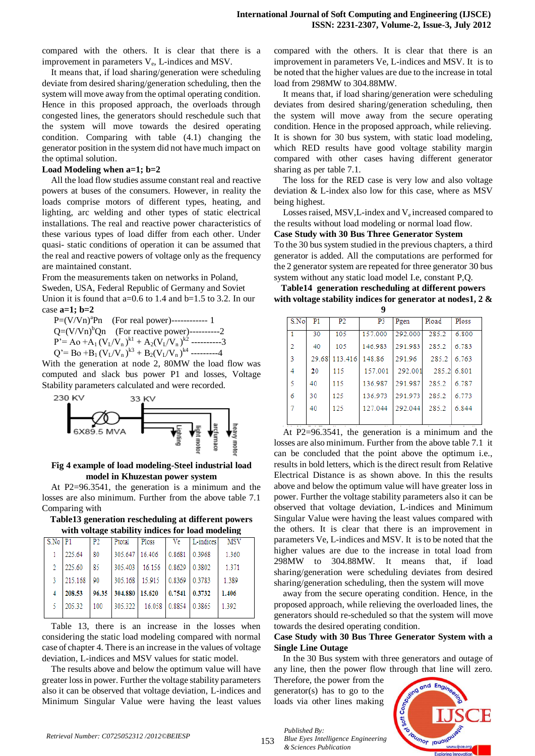compared with the others. It is clear that there is a improvement in parameters  $V_e$ , L-indices and MSV.

It means that, if load sharing/generation were scheduling deviate from desired sharing/generation scheduling, then the system will move away from the optimal operating condition. Hence in this proposed approach, the overloads through congested lines, the generators should reschedule such that the system will move towards the desired operating condition. Comparing with table (4.1) changing the generator position in the system did not have much impact on the optimal solution.

#### **Load Modeling when a=1; b=2**

All the load flow studies assume constant real and reactive powers at buses of the consumers. However, in reality the loads comprise motors of different types, heating, and lighting, arc welding and other types of static electrical installations. The real and reactive power characteristics of these various types of load differ from each other. Under quasi- static conditions of operation it can be assumed that the real and reactive powers of voltage only as the frequency are maintained constant.

From the measurements taken on networks in Poland, Sweden, USA, Federal Republic of Germany and Soviet Union it is found that  $a=0.6$  to 1.4 and  $b=1.5$  to 3.2. In our case **a=1; b=2**

 $P=(V/Vn)^{a}Pn$  (For real power)------------- 1  $Q=(V/Vn)^bQn$  (For reactive power)----------2  $P' = Ao + A_1 (V_L/V_n)^{k_1} + A_2 (V_L/V_n)^{k_2}$  ---------3  $Q' = Bo + B_1 (V_L/V_n)^{k3} + B_2 (V_L/V_n)^{k4}$  --------4

With the generation at node 2, 80MW the load flow was computed and slack bus power P1 and losses, Voltage Stability parameters calculated and were recorded.



## **Fig 4 example of load modeling-Steel industrial load model in Khuzestan power system**

At P2=96.3541, the generation is a minimum and the losses are also minimum. Further from the above table 7.1 Comparing with

**Table13 generation rescheduling at different powers with voltage stability indices for load modeling**

| $S.No$   P1    |         | P <sub>2</sub> | Ptotal             | Ploss         | $\overline{\text{Ve}}$ | L-indices | <b>MSV</b> |
|----------------|---------|----------------|--------------------|---------------|------------------------|-----------|------------|
|                | 225.64  | 80             | 305.647   16.406   |               | 0.8681                 | 103968    | 1.360      |
| $\mathfrak{D}$ | 225.60  | 85             | 305.403            | 16.156        | 0.8629                 | 0.3802    | 1.371      |
| 3              | 215.168 | 90             | 305.168 15.915     |               | 0.8369                 | 0.3783    | 1.389      |
| 4              | 208.53  | 96.35          | $304.880$   15.620 |               | $0.7541$ 0.3732        |           | 1.406      |
| 5              | 205.32  | 100            | 305.322            | 16.058 0.8854 |                        | 0.3865    | 1.392      |

Table 13, there is an increase in the losses when considering the static load modeling compared with normal case of chapter 4. There is an increase in the values of voltage deviation, L-indices and MSV values for static model.

The results above and below the optimum value will have greater loss in power. Further the voltage stability parameters also it can be observed that voltage deviation, L-indices and Minimum Singular Value were having the least values compared with the others. It is clear that there is an improvement in parameters Ve, L-indices and MSV. It is to be noted that the higher values are due to the increase in total load from 298MW to 304.88MW.

It means that, if load sharing/generation were scheduling deviates from desired sharing/generation scheduling, then the system will move away from the secure operating condition. Hence in the proposed approach, while relieving. It is shown for 30 bus system, with static load modeling, which RED results have good voltage stability margin compared with other cases having different generator sharing as per table 7.1.

The loss for the RED case is very low and also voltage deviation & L-index also low for this case, where as MSV being highest.

Losses raised,  $MSV, L$ -index and  $V_e$  increased compared to the results without load modeling or normal load flow.

#### **Case Study with 30 Bus Three Generator System**

To the 30 bus system studied in the previous chapters, a third generator is added. All the computations are performed for the 2 generator system are repeated for three generator 30 bus system without any static load model I.e, constant P,Q.

**Table14 generation rescheduling at different powers with voltage stability indices for generator at nodes1, 2 &** 

| Λ      |        |                |         |         |       |       |  |
|--------|--------|----------------|---------|---------|-------|-------|--|
| S.No   | P1     | P <sub>2</sub> | P3      | Pgen    | Pload | Ploss |  |
| 1      | 30     | 105            | 157.000 | 292.000 | 285.2 | 6.800 |  |
| 2      | 40     | 105            | 146.983 | 291.983 | 285.2 | 6.783 |  |
| 3      | 29.681 | 113.416        | 148.86  | 291.96  | 285.2 | 6.763 |  |
| 4      | 20     | 115            | 157.001 | 292.001 | 285.2 | 6.801 |  |
| 5      | 40     | 115            | 136.987 | 291.987 | 285.2 | 6.787 |  |
| 6      | 30     | 125            | 136.973 | 291.973 | 285.2 | 6.773 |  |
| $\tau$ | 40     | 125            | 127.044 | 292,044 | 285.2 | 6844  |  |
|        |        |                |         |         |       |       |  |

At P2=96.3541, the generation is a minimum and the losses are also minimum. Further from the above table 7.1 it can be concluded that the point above the optimum i.e., results in bold letters, which is the direct result from Relative Electrical Distance is as shown above. In this the results above and below the optimum value will have greater loss in power. Further the voltage stability parameters also it can be observed that voltage deviation, L-indices and Minimum Singular Value were having the least values compared with the others. It is clear that there is an improvement in parameters Ve, L-indices and MSV. It is to be noted that the higher values are due to the increase in total load from 298MW to 304.88MW. It means that, if load sharing/generation were scheduling deviates from desired sharing/generation scheduling, then the system will move

away from the secure operating condition. Hence, in the proposed approach, while relieving the overloaded lines, the generators should re-scheduled so that the system will move towards the desired operating condition.

## **Case Study with 30 Bus Three Generator System with a Single Line Outage**

In the 30 Bus system with three generators and outage of any line, then the power flow through that line will zero.

Therefore, the power from the generator(s) has to go to the loads via other lines making

*Blue Eyes Intelligence Engineering* 

*Published By:*

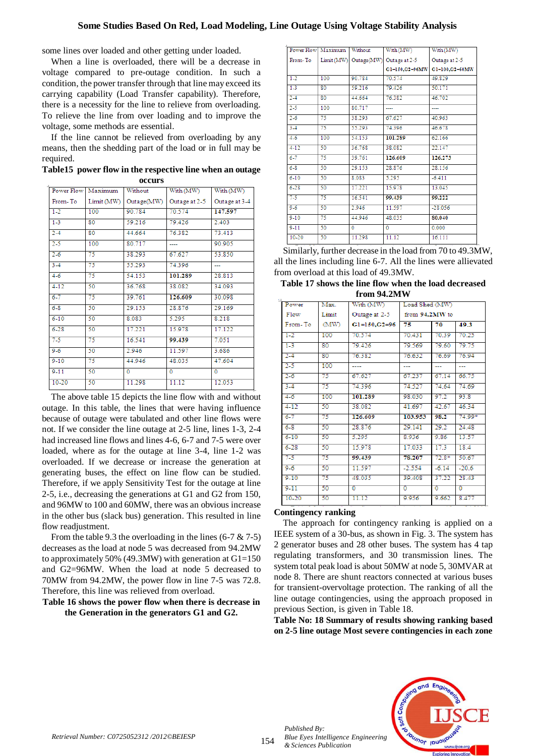## **Some Studies Based On Red, Load Modeling, Line Outage Using Voltage Stability Analysis**

some lines over loaded and other getting under loaded.

When a line is overloaded, there will be a decrease in voltage compared to pre-outage condition. In such a condition, the power transfer through that line may exceed its carrying capability (Load Transfer capability). Therefore, there is a necessity for the line to relieve from overloading. To relieve the line from over loading and to improve the voltage, some methods are essential.

If the line cannot be relieved from overloading by any means, then the shedding part of the load or in full may be required.

| Table15 power flow in the respective line when an outage |
|----------------------------------------------------------|
| occurs                                                   |

|           | Power Flow Maximum | Without    | With (MW)     | With (MW)     |
|-----------|--------------------|------------|---------------|---------------|
| From-To   | Limit (MW)         | Outage(MW) | Outage at 2-5 | Outage at 3-4 |
| $1-2$     | 100                | 90.784     | 70.574        | 147.597       |
| $1-3$     | 80                 | 59.216     | 79.426        | 2.403         |
| $2-4$     | 80                 | 44.664     | 76.382        | 73.413        |
| $2-5$     | 100                | 80.717     |               | 90.905        |
| $2 - 6$   | 75                 | 38.293     | 67.627        | 53,850        |
| $3-4$     | 75                 | 55.293     | 74.396        | ---           |
| $4 - 6$   | 75                 | 54.153     | 101.289       | 28.813        |
| $4 - 12$  | 50                 | 36.768     | 38.082        | 34.093        |
| $6 - 7$   | 75                 | 39.761     | 126.609       | 30.098        |
| $6 - 8$   | 50                 | 29.153     | 28.876        | 29.169        |
| $6 - 10$  | 50                 | 8.083      | 5.295         | 8.218         |
| $6 - 28$  | 50                 | 17.221     | 15.978        | 17.122        |
| $7 - 5$   | 75                 | 16.541     | 99.439        | 7.051         |
| $9 - 6$   | 50                 | 2.946      | 11.597        | 3.686         |
| $9 - 10$  | 75                 | 44.946     | 48.035        | 47.604        |
| $9 - 11$  | 50                 | 0          | 0             | 0             |
| $10 - 20$ | 50                 | 11.298     | 11.12         | 12.053        |

The above table 15 depicts the line flow with and without outage. In this table, the lines that were having influence because of outage were tabulated and other line flows were not. If we consider the line outage at 2-5 line, lines 1-3, 2-4 had increased line flows and lines 4-6, 6-7 and 7-5 were over loaded, where as for the outage at line 3-4, line 1-2 was overloaded. If we decrease or increase the generation at generating buses, the effect on line flow can be studied. Therefore, if we apply Sensitivity Test for the outage at line 2-5, i.e., decreasing the generations at G1 and G2 from 150, and 96MW to 100 and 60MW, there was an obvious increase in the other bus (slack bus) generation. This resulted in line flow readiustment.

From the table 9.3 the overloading in the lines (6-7 & 7-5) decreases as the load at node 5 was decreased from 94.2MW to approximately 50% (49.3MW) with generation at  $G1=150$ and G2=96MW. When the load at node 5 decreased to 70MW from 94.2MW, the power flow in line 7-5 was 72.8. Therefore, this line was relieved from overload.

## **Table 16 shows the power flow when there is decrease in the Generation in the generators G1 and G2.**

|          | Power Flow Maximum | Without    | With (MW)       | With (MW)      |
|----------|--------------------|------------|-----------------|----------------|
| From-To  | Limit (MW)         | Outage(MW) | Outage at 2-5   | Outage at 2-5  |
|          |                    |            | G1=150, G2=96MW | G1=100,G2=60MW |
| $1-2$    | 100                | 90.784     | 70.574          | 49.829         |
| $1-3$    | 80                 | 59.216     | 79.426          | 50.171         |
| $2-4$    | 80                 | 44.664     | 76.382          | 46.702         |
| $2-5$    | 100                | 80.717     | ----            | ----           |
| $2-6$    | 75                 | 38.293     | 67.627          | 40.963         |
| $3-4$    | 75                 | 55.293     | 74.396          | 46.678         |
| $4-6$    | 100                | 54.153     | 101.289         | 62.166         |
| $4 - 12$ | 50                 | 36.768     | 38.082          | 22.147         |
| $6 - 7$  | 75                 | 39.761     | 126.609         | 126.273        |
| $6 - 8$  | 50                 | 29.153     | 28.876          | 28.156         |
| $6 - 10$ | 50                 | 8.083      | 5.295           | $-6.411$       |
| $6 - 28$ | 50                 | 17.221     | 15.978          | 13.045         |
| $7 - 5$  | 75                 | 16.541     | 99.439          | 99.222         |
| $9 - 6$  | 50                 | 2.946      | 11.597          | $-28.056$      |
| $9 - 10$ | 75                 | 44.946     | 48.035          | 80.040         |
| $9 - 11$ | 50                 | $\Omega$   | $\Omega$        | 0.000          |
| 10-20    | 50                 | 11.298     | 11.12           | 16.111         |

Similarly, further decrease in the load from 70 to 49.3MW, all the lines including line 6-7. All the lines were allievated from overload at this load of 49.3MW.

| Table 17 shows the line flow when the load decreased |  |  |             |  |  |
|------------------------------------------------------|--|--|-------------|--|--|
|                                                      |  |  | from 94.2MW |  |  |

| Power     | Max.  | With (MW)              | Load Shed (MW) |                          |         |  |
|-----------|-------|------------------------|----------------|--------------------------|---------|--|
| Flow      | Limit | Outage at 2-5          | from 94.2MW to |                          |         |  |
| From-To   | (MW)  | $G1 = 150$ , $G2 = 96$ | 75             | 70                       | 49.3    |  |
| $1-2$     | 100   | 70.574                 | 70.431         | 70.39                    | 70.25   |  |
| $1-3$     | 80    | 79.426                 | 79.569         | 79.60                    | 79.75   |  |
| $2-4$     | 80    | 76.382                 | 76.632         | 76.69                    | 76.94   |  |
| $2 - 5$   | 100   | -----                  | ---            | $\overline{\phantom{a}}$ | ---     |  |
| $2-6$     | 75    | 67.627                 | 67.237         | 67.14                    | 66.75   |  |
| $3-4$     | 75    | 74.396                 | 74.527         | 74.64                    | 74.69   |  |
| $4 - 6$   | 100   | 101.289                | 98.030         | 97.2                     | 93.8    |  |
| $4 - 12$  | 50    | 38.082                 | 41.697         | 42.67                    | 46.34   |  |
| $6 - 7$   | 75    | 126.609                | 103.953        | 98.2                     | 74.99*  |  |
| $6 - 8$   | 50    | 28.876                 | 29.141         | 29.2                     | 24.48   |  |
| $6 - 10$  | 50    | 5.295                  | 8.936          | 9.86                     | 13.57   |  |
| $6 - 28$  | 50    | 15.978                 | 17.033         | 17.3                     | 18.4    |  |
| $7-5$     | 75    | 99.439                 | 78.207         | $72.8*$                  | 50.67   |  |
| $9 - 6$   | 50    | 11.597                 | $-2.554$       | $-6.14$                  | $-20.6$ |  |
| $9 - 10$  | 75    | 48.035                 | 39,408         | 37.22                    | 28.43   |  |
| $9 - 11$  | 50    | $\Omega$               | ō              | ō                        | ō       |  |
| $10 - 20$ | 50    | 11.12                  | 9.956          | 9.662                    | 8.477   |  |

#### **Contingency ranking**

The approach for contingency ranking is applied on a IEEE system of a 30-bus, as shown in Fig. 3. The system has 2 generator buses and 28 other buses. The system has 4 tap regulating transformers, and 30 transmission lines. The system total peak load is about 50MW at node 5, 30MVAR at node 8. There are shunt reactors connected at various buses for transient-overvoltage protection. The ranking of all the line outage contingencies, using the approach proposed in previous Section, is given in Table 18.

**Table No: 18 Summary of results showing ranking based on 2-5 line outage Most severe contingencies in each zone**



*Published By:*